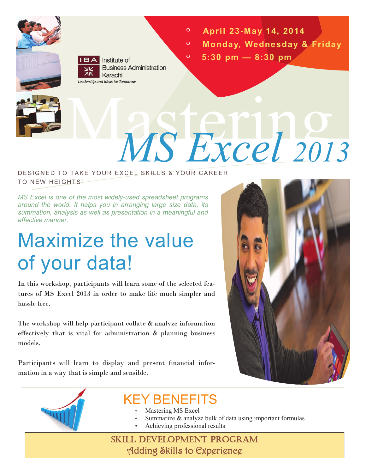

**IBA** Institute of **Business Administration** Karachi Leadership and Ideas for Tomorrow

- $\circ$ **April 23-May 14, 2014**
- $\overline{O}$ **Monday, Wednesday & Friday**
	- **5:30 pm — 8:30 pm**

 $\circ$ 

# Mastering *MS Excel <sup>2013</sup>*

#### DESIGNED TO TAKE YOUR EXCEL SKHLS & YOUR CAREER TO NEW HEIGHTS!

*MS Excel is one of the most widely-used spreadsheet programs around the world. It helps you in arranging large size data, its summation, analysis as well as presentation in a meaningful and effective manner.* 

## Maximize the value of your data!

In this workshop, participants will learn some of the selected features of MS Excel 2013 in order to make life much simpler and hassle free.

The workshop will help participant collate & analyze information effectively that is vital for administration & planning business models.

Participants will learn to display and present financial information in a way that is simple and sensible.





## KEY BENEFITS

- Mastering MS Excel
- Summarize & analyze bulk of data using important formulas
	- Achieving professional results

SKILL DEVELOPMENT PROGRAM Adding Skills to Experience